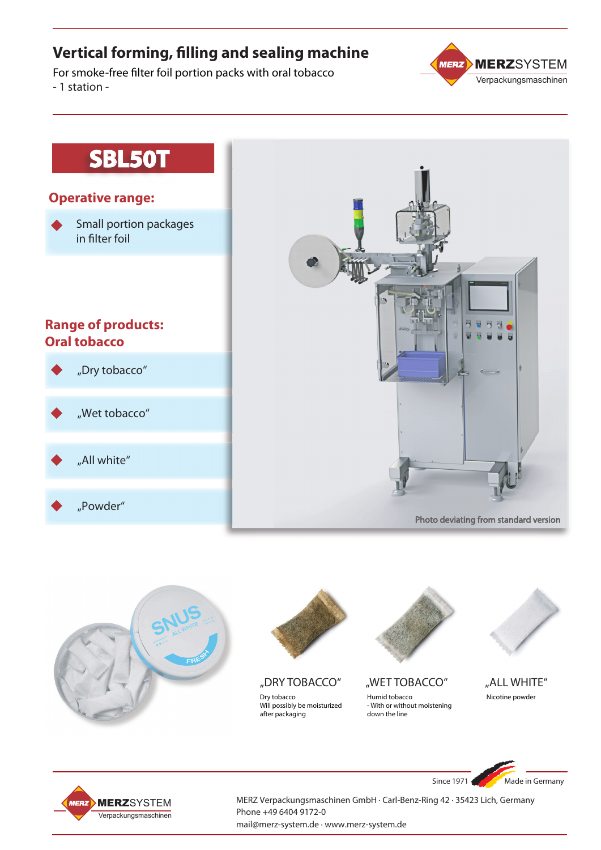### **Vertical forming, filling and sealing machine**

For smoke-free filter foil portion packs with oral tobacco - 1 station -



## **SBL50T**

### **Operative range:**

Small portion packages in filter foil

### **Range of products: Oral tobacco**

## "Dry tobacco"

"Wet tobacco"

"All white"

"Powder"



Photo deviating from standard version

Since 1971 Made in Germany





MERZ Verpackungsmaschinen GmbH · Carl-Benz-Ring 42 · 35423 Lich, Germany Phone +49 6404 9172-0 mail@merz-system.de · www.merz-system.de